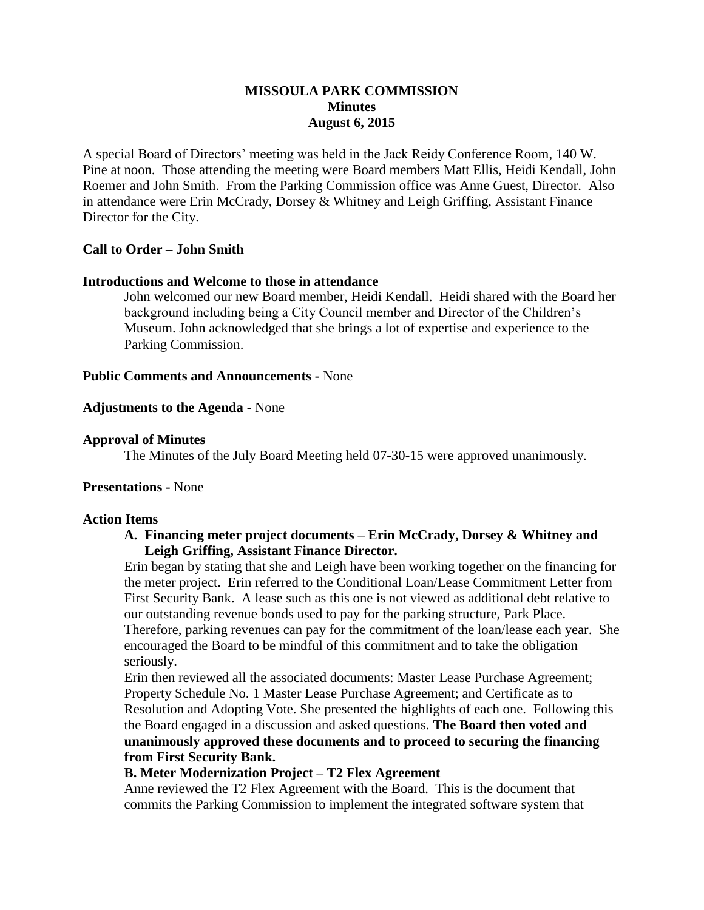## **MISSOULA PARK COMMISSION Minutes August 6, 2015**

A special Board of Directors' meeting was held in the Jack Reidy Conference Room, 140 W. Pine at noon. Those attending the meeting were Board members Matt Ellis, Heidi Kendall, John Roemer and John Smith. From the Parking Commission office was Anne Guest, Director. Also in attendance were Erin McCrady, Dorsey & Whitney and Leigh Griffing, Assistant Finance Director for the City.

### **Call to Order – John Smith**

### **Introductions and Welcome to those in attendance**

John welcomed our new Board member, Heidi Kendall. Heidi shared with the Board her background including being a City Council member and Director of the Children's Museum. John acknowledged that she brings a lot of expertise and experience to the Parking Commission.

#### **Public Comments and Announcements -** None

#### **Adjustments to the Agenda -** None

#### **Approval of Minutes**

The Minutes of the July Board Meeting held 07-30-15 were approved unanimously.

## **Presentations -** None

#### **Action Items**

### **A. Financing meter project documents – Erin McCrady, Dorsey & Whitney and Leigh Griffing, Assistant Finance Director.**

Erin began by stating that she and Leigh have been working together on the financing for the meter project. Erin referred to the Conditional Loan/Lease Commitment Letter from First Security Bank. A lease such as this one is not viewed as additional debt relative to our outstanding revenue bonds used to pay for the parking structure, Park Place. Therefore, parking revenues can pay for the commitment of the loan/lease each year. She encouraged the Board to be mindful of this commitment and to take the obligation seriously.

Erin then reviewed all the associated documents: Master Lease Purchase Agreement; Property Schedule No. 1 Master Lease Purchase Agreement; and Certificate as to Resolution and Adopting Vote. She presented the highlights of each one. Following this the Board engaged in a discussion and asked questions. **The Board then voted and unanimously approved these documents and to proceed to securing the financing from First Security Bank.**

# **B. Meter Modernization Project – T2 Flex Agreement**

Anne reviewed the T2 Flex Agreement with the Board. This is the document that commits the Parking Commission to implement the integrated software system that